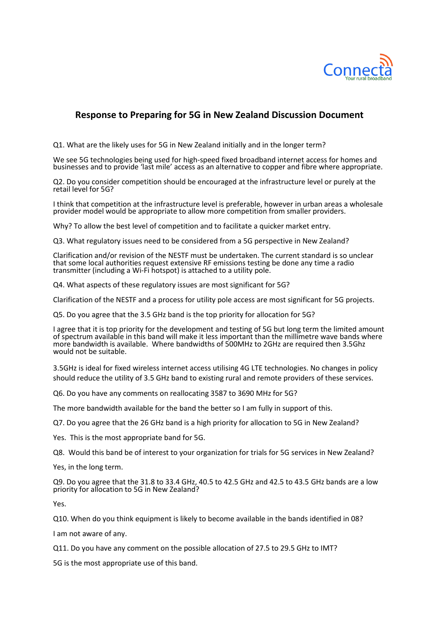

## **Response to Preparing for 5G in New Zealand Discussion Document**

Q1. What are the likely uses for 5G in New Zealand initially and in the longer term?

We see 5G technologies being used for high-speed fixed broadband internet access for homes and businesses and to provide 'last mile' access as an alternative to copper and fibre where appropriate.

Q2. Do you consider competition should be encouraged at the infrastructure level or purely at the retail level for 5G?

I think that competition at the infrastructure level is preferable, however in urban areas a wholesale provider model would be appropriate to allow more competition from smaller providers.

Why? To allow the best level of competition and to facilitate a quicker market entry.

Q3. What regulatory issues need to be considered from a 5G perspective in New Zealand?

Clarification and/or revision of the NESTF must be undertaken. The current standard is so unclear that some local authorities request extensive RF emissions testing be done any time a radio transmitter (including a Wi-Fi hotspot) is attached to a utility pole.

Q4. What aspects of these regulatory issues are most significant for 5G?

Clarification of the NESTF and a process for utility pole access are most significant for 5G projects.

Q5. Do you agree that the 3.5 GHz band is the top priority for allocation for 5G?

I agree that it is top priority for the development and testing of 5G but long term the limited amount of spectrum available in this band will make it less important than the millimetre wave bands where more bandwidth is available. Where bandwidths of 500MHz to 2GHz are required then 3.5Ghz would not be suitable.

3.5GHz is ideal for fixed wireless internet access utilising 4G LTE technologies. No changes in policy should reduce the utility of 3.5 GHz band to existing rural and remote providers of these services.

Q6. Do you have any comments on reallocating 3587 to 3690 MHz for 5G?

The more bandwidth available for the band the better so I am fully in support of this.

Q7. Do you agree that the 26 GHz band is a high priority for allocation to 5G in New Zealand?

Yes. This is the most appropriate band for 5G.

Q8. Would this band be of interest to your organization for trials for 5G services in New Zealand?

Yes, in the long term.

Q9. Do you agree that the 31.8 to 33.4 GHz, 40.5 to 42.5 GHz and 42.5 to 43.5 GHz bands are a low priority for allocation to 5G in New Zealand?

Yes.

Q10. When do you think equipment is likely to become available in the bands identified in 08?

I am not aware of any.

Q11. Do you have any comment on the possible allocation of 27.5 to 29.5 GHz to IMT?

5G is the most appropriate use of this band.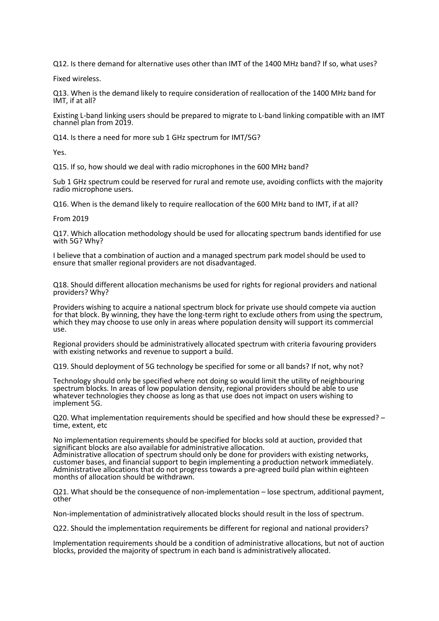Q12. Is there demand for alternative uses other than IMT of the 1400 MHz band? If so, what uses?

Fixed wireless.

Q13. When is the demand likely to require consideration of reallocation of the 1400 MHz band for IMT, if at all?

Existing L-band linking users should be prepared to migrate to L-band linking compatible with an IMT channel plan from 2019.

Q14. Is there a need for more sub 1 GHz spectrum for IMT/5G?

Yes.

Q15. If so, how should we deal with radio microphones in the 600 MHz band?

Sub 1 GHz spectrum could be reserved for rural and remote use, avoiding conflicts with the majority radio microphone users.

Q16. When is the demand likely to require reallocation of the 600 MHz band to IMT, if at all?

From 2019

Q17. Which allocation methodology should be used for allocating spectrum bands identified for use with 5G? Why?

I believe that a combination of auction and a managed spectrum park model should be used to ensure that smaller regional providers are not disadvantaged.

Q18. Should different allocation mechanisms be used for rights for regional providers and national providers? Why?

Providers wishing to acquire a national spectrum block for private use should compete via auction for that block. By winning, they have the long-term right to exclude others from using the spectrum, which they may choose to use only in areas where population density will support its commercial use.

Regional providers should be administratively allocated spectrum with criteria favouring providers with existing networks and revenue to support a build.

Q19. Should deployment of 5G technology be specified for some or all bands? If not, why not?

Technology should only be specified where not doing so would limit the utility of neighbouring spectrum blocks. In areas of low population density, regional providers should be able to use whatever technologies they choose as long as that use does not impact on users wishing to implement 5G.

Q20. What implementation requirements should be specified and how should these be expressed? – time, extent, etc

No implementation requirements should be specified for blocks sold at auction, provided that significant blocks are also available for administrative allocation. Administrative allocation of spectrum should only be done for providers with existing networks, customer bases, and financial support to begin implementing a production network immediately. Administrative allocations that do not progress towards a pre-agreed build plan within eighteen months of allocation should be withdrawn.

Q21. What should be the consequence of non-implementation – lose spectrum, additional payment, other

Non-implementation of administratively allocated blocks should result in the loss of spectrum.

Q22. Should the implementation requirements be different for regional and national providers?

Implementation requirements should be a condition of administrative allocations, but not of auction blocks, provided the majority of spectrum in each band is administratively allocated.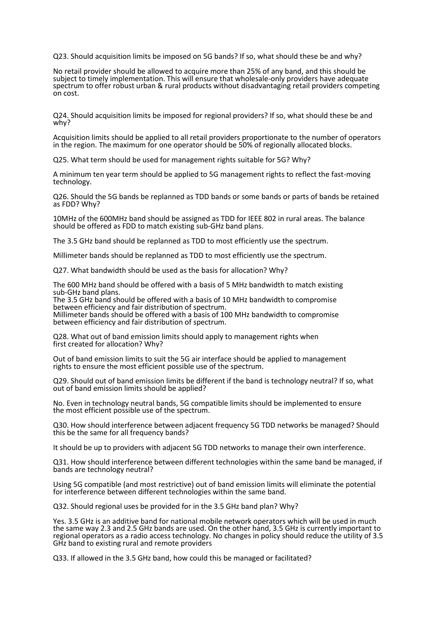Q23. Should acquisition limits be imposed on 5G bands? If so, what should these be and why?

No retail provider should be allowed to acquire more than 25% of any band, and this should be subject to timely implementation. This will ensure that wholesale-only providers have adequate spectrum to offer robust urban & rural products without disadvantaging retail providers competing on cost.

Q24. Should acquisition limits be imposed for regional providers? If so, what should these be and why?

Acquisition limits should be applied to all retail providers proportionate to the number of operators in the region. The maximum for one operator should be 50% of regionally allocated blocks.

Q25. What term should be used for management rights suitable for 5G? Why?

A minimum ten year term should be applied to 5G management rights to reflect the fast-moving technology.

Q26. Should the 5G bands be replanned as TDD bands or some bands or parts of bands be retained as FDD? Why?

10MHz of the 600MHz band should be assigned as TDD for IEEE 802 in rural areas. The balance should be offered as FDD to match existing sub-GHz band plans.

The 3.5 GHz band should be replanned as TDD to most efficiently use the spectrum.

Millimeter bands should be replanned as TDD to most efficiently use the spectrum.

Q27. What bandwidth should be used as the basis for allocation? Why?

The 600 MHz band should be offered with a basis of 5 MHz bandwidth to match existing sub-GHz band plans.

The 3.5 GHz band should be offered with a basis of 10 MHz bandwidth to compromise between efficiency and fair distribution of spectrum.

Millimeter bands should be offered with a basis of 100 MHz bandwidth to compromise between efficiency and fair distribution of spectrum.

Q28. What out of band emission limits should apply to management rights when first created for allocation? Why?

Out of band emission limits to suit the 5G air interface should be applied to management rights to ensure the most efficient possible use of the spectrum.

Q29. Should out of band emission limits be different if the band is technology neutral? If so, what out of band emission limits should be applied?

No. Even in technology neutral bands, 5G compatible limits should be implemented to ensure the most efficient possible use of the spectrum.

Q30. How should interference between adjacent frequency 5G TDD networks be managed? Should this be the same for all frequency bands?

It should be up to providers with adjacent 5G TDD networks to manage their own interference.

Q31. How should interference between different technologies within the same band be managed, if bands are technology neutral?

Using 5G compatible (and most restrictive) out of band emission limits will eliminate the potential for interference between different technologies within the same band.

Q32. Should regional uses be provided for in the 3.5 GHz band plan? Why?

Yes. 3.5 GHz is an additive band for national mobile network operators which will be used in much the same way 2.3 and 2.5 GHz bands are used. On the other hand, 3.5 GHz is currently important to regional operators as a radio access technology. No changes in policy should reduce the utility of 3.5 GHz band to existing rural and remote providers

Q33. If allowed in the 3.5 GHz band, how could this be managed or facilitated?